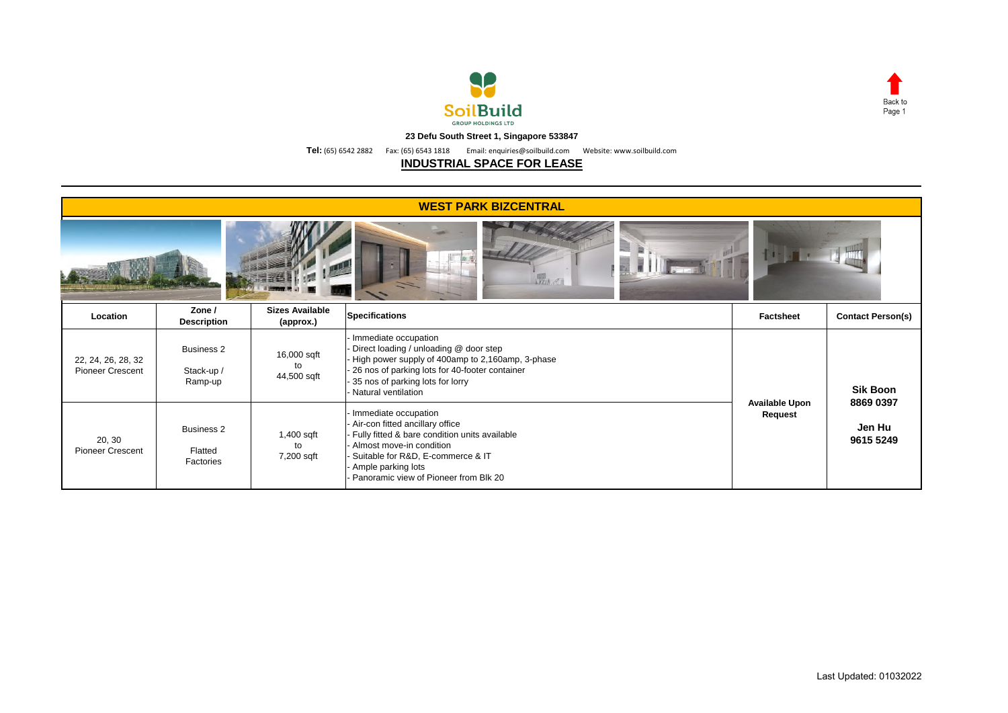



**23 Defu South Street 1, Singapore 533847**

**Tel:** (65) 6542 2882 Fax: (65) 6543 1818 Email: enquiries@soilbuild.com Website: www.soilbuild.com

## **INDUSTRIAL SPACE FOR LEASE**

| <b>WEST PARK BIZCENTRAL</b>                   |                                            |                                     |                                                                                                                                                                                                                                          |                       |                                  |  |  |  |  |  |  |
|-----------------------------------------------|--------------------------------------------|-------------------------------------|------------------------------------------------------------------------------------------------------------------------------------------------------------------------------------------------------------------------------------------|-----------------------|----------------------------------|--|--|--|--|--|--|
| 100 AT                                        |                                            |                                     |                                                                                                                                                                                                                                          |                       |                                  |  |  |  |  |  |  |
| Location                                      | Zone /<br><b>Description</b>               | <b>Sizes Available</b><br>(approx.) | <b>Specifications</b>                                                                                                                                                                                                                    | <b>Factsheet</b>      | <b>Contact Person(s)</b>         |  |  |  |  |  |  |
| 22, 24, 26, 28, 32<br><b>Pioneer Crescent</b> | <b>Business 2</b><br>Stack-up /<br>Ramp-up | 16,000 sqft<br>to<br>44,500 sqft    | Immediate occupation<br>Direct loading / unloading @ door step<br>High power supply of 400amp to 2,160amp, 3-phase<br>26 nos of parking lots for 40-footer container<br>35 nos of parking lots for lorry<br>Natural ventilation          | <b>Available Upon</b> | <b>Sik Boon</b>                  |  |  |  |  |  |  |
| 20, 30<br><b>Pioneer Crescent</b>             | <b>Business 2</b><br>Flatted<br>Factories  | 1,400 sqft<br>to<br>7,200 sqft      | Immediate occupation<br>Air-con fitted ancillary office<br>Fully fitted & bare condition units available<br>Almost move-in condition<br>Suitable for R&D, E-commerce & IT<br>Ample parking lots<br>Panoramic view of Pioneer from Blk 20 |                       | 8869 0397<br>Jen Hu<br>9615 5249 |  |  |  |  |  |  |